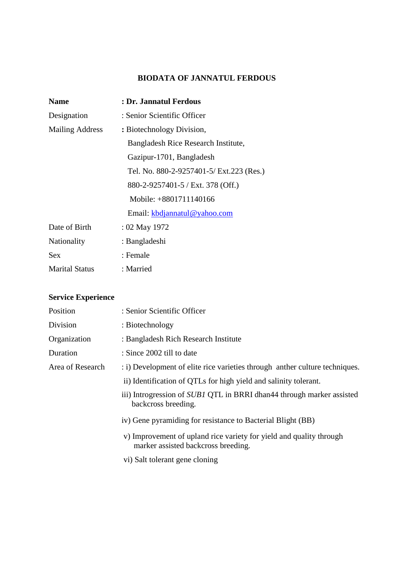## **BIODATA OF JANNATUL FERDOUS**

| <b>Name</b>            | : Dr. Jannatul Ferdous                   |  |
|------------------------|------------------------------------------|--|
| Designation            | : Senior Scientific Officer              |  |
| <b>Mailing Address</b> | : Biotechnology Division,                |  |
|                        | Bangladesh Rice Research Institute,      |  |
|                        | Gazipur-1701, Bangladesh                 |  |
|                        | Tel. No. 880-2-9257401-5/ Ext.223 (Res.) |  |
|                        | 880-2-9257401-5 / Ext. 378 (Off.)        |  |
|                        | Mobile: +8801711140166                   |  |
|                        | Email: kbdjannatul@yahoo.com             |  |
| Date of Birth          | : 02 May 1972                            |  |
| <b>Nationality</b>     | : Bangladeshi                            |  |
| Sex                    | : Female                                 |  |
| <b>Marital Status</b>  | : Married                                |  |

# **Service Experience**

| Position         | : Senior Scientific Officer                                                                                |
|------------------|------------------------------------------------------------------------------------------------------------|
| Division         | : Biotechnology                                                                                            |
| Organization     | : Bangladesh Rich Research Institute                                                                       |
| Duration         | : Since 2002 till to date                                                                                  |
| Area of Research | : i) Development of elite rice varieties through anther culture techniques.                                |
|                  | ii) Identification of QTLs for high yield and salinity tolerant.                                           |
|                  | iii) Introgression of SUB1 QTL in BRRI dhan44 through marker assisted<br>backcross breeding.               |
|                  | iv) Gene pyramiding for resistance to Bacterial Blight (BB)                                                |
|                  | v) Improvement of upland rice variety for yield and quality through<br>marker assisted backcross breeding. |
|                  | vi) Salt tolerant gene cloning                                                                             |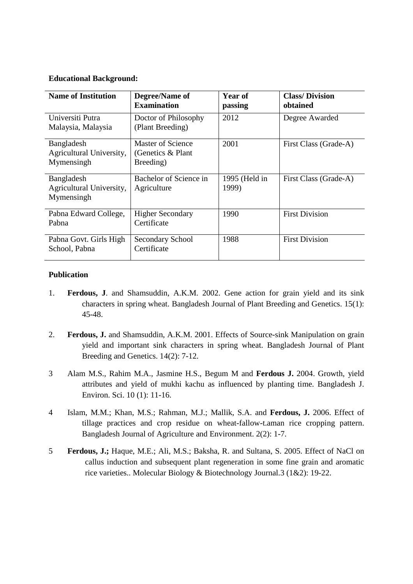#### **Educational Background:**

| <b>Name of Institution</b>                           | Degree/Name of<br><b>Examination</b>                  | Year of<br>passing     | <b>Class/Division</b><br>obtained |
|------------------------------------------------------|-------------------------------------------------------|------------------------|-----------------------------------|
| Universiti Putra<br>Malaysia, Malaysia               | Doctor of Philosophy<br>(Plant Breeding)              | 2012                   | Degree Awarded                    |
| Bangladesh<br>Agricultural University,<br>Mymensingh | Master of Science<br>(Genetics $&$ Plant<br>Breeding) | 2001                   | First Class (Grade-A)             |
| Bangladesh<br>Agricultural University,<br>Mymensingh | Bachelor of Science in<br>Agriculture                 | 1995 (Held in<br>1999) | First Class (Grade-A)             |
| Pabna Edward College,<br>Pabna                       | <b>Higher Secondary</b><br>Certificate                | 1990                   | <b>First Division</b>             |
| Pabna Govt. Girls High<br>School, Pabna              | Secondary School<br>Certificate                       | 1988                   | <b>First Division</b>             |

#### **Publication**

- 1. **Ferdous, J**. and Shamsuddin, A.K.M. 2002. Gene action for grain yield and its sink characters in spring wheat. Bangladesh Journal of Plant Breeding and Genetics. 15(1): 45-48.
- 2. **Ferdous, J.** and Shamsuddin, A.K.M. 2001. Effects of Source-sink Manipulation on grain yield and important sink characters in spring wheat. Bangladesh Journal of Plant Breeding and Genetics. 14(2): 7-12.
- 3 Alam M.S., Rahim M.A., Jasmine H.S., Begum M and **Ferdous J.** 2004. Growth, yield attributes and yield of mukhi kachu as influenced by planting time. Bangladesh J. Environ. Sci. 10 (1): 11-16.
- 4 Islam, M.M.; Khan, M.S.; Rahman, M.J.; Mallik, S.A. and **Ferdous, J.** 2006. Effect of tillage practices and crop residue on wheat-fallow-t.aman rice cropping pattern. Bangladesh Journal of Agriculture and Environment. 2(2): 1-7.
- 5 **Ferdous, J.;** Haque, M.E.; Ali, M.S.; Baksha, R. and Sultana, S. 2005. Effect of NaCl on callus induction and subsequent plant regeneration in some fine grain and aromatic rice varieties.. Molecular Biology & Biotechnology Journal.3 (1&2): 19-22.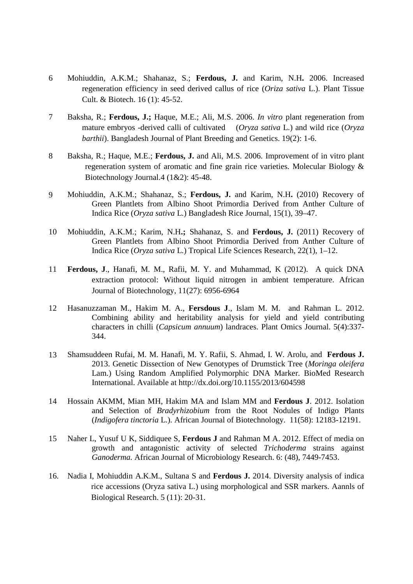- 6 Mohiuddin, A.K.M.; Shahanaz, S.; **Ferdous, J.** and Karim, N.H**.** 2006. Increased regeneration efficiency in seed derived callus of rice (*Oriza sativa* L.). Plant Tissue Cult. & Biotech. 16 (1): 45-52.
- 7 Baksha, R.; **Ferdous, J.;** Haque, M.E.; Ali, M.S. 2006. *In vitro* plant regeneration from mature embryos -derived calli of cultivated (*Oryza sativa* L.) and wild rice (*Oryza barthii*). Bangladesh Journal of Plant Breeding and Genetics. 19(2): 1-6.
- 8 Baksha, R.; Haque, M.E.; **Ferdous, J.** and Ali, M.S. 2006. Improvement of in vitro plant regeneration system of aromatic and fine grain rice varieties. Molecular Biology & Biotechnology Journal.4 (1&2): 45-48.
- 9 Mohiuddin, A.K.M.; Shahanaz, S.; **Ferdous, J.** and Karim, N.H**.** (2010) Recovery of Green Plantlets from Albino Shoot Primordia Derived from Anther Culture of Indica Rice (*Oryza sativa* L.) Bangladesh Rice Journal, 15(1), 39–47.
- 10 Mohiuddin, A.K.M.; Karim, N.H**.;** Shahanaz, S. and **Ferdous, J.** (2011) Recovery of Green Plantlets from Albino Shoot Primordia Derived from Anther Culture of Indica Rice (*Oryza sativa* L.) Tropical Life Sciences Research, 22(1), 1–12.
- 11 **Ferdous, J**., Hanafi, M. M., Rafii, M. Y. and Muhammad, K (2012). A quick DNA extraction protocol: Without liquid nitrogen in ambient temperature. African Journal of Biotechnology, 11(27): 6956-6964
- 12 Hasanuzzaman M., Hakim M. A., **Fersdous J**., Islam M. M. and Rahman L. 2012. Combining ability and heritability analysis for yield and yield contributing characters in chilli (*Capsicum annuum*) landraces. Plant Omics Journal. 5(4):337- 344.
- 13 Shamsuddeen Rufai, M. M. Hanafi, M. Y. Rafii, S. Ahmad, I. W. Arolu, and **Ferdous J.**  2013. Genetic Dissection of New Genotypes of Drumstick Tree (*Moringa oleifera*  Lam.) Using Random Amplified Polymorphic DNA Marker. BioMed Research International. Available at http://dx.doi.org/10.1155/2013/604598
- 14 Hossain AKMM, Mian MH, Hakim MA and Islam MM and **Ferdous J**. 2012. Isolation and Selection of *Bradyrhizobium* from the Root Nodules of Indigo Plants (*Indigofera tinctoria* L.). African Journal of Biotechnology. 11(58): 12183-12191.
- 15 Naher L, Yusuf U K, Siddiquee S, **Ferdous J** and Rahman M A. 2012. Effect of media on growth and antagonistic activity of selected *Trichoderma* strains against *Ganoderma.* African Journal of Microbiology Research. 6: (48), 7449-7453.
- 16. Nadia I, Mohiuddin A.K.M., Sultana S and **Ferdous J.** 2014. Diversity analysis of indica rice accessions (Oryza sativa L.) using morphological and SSR markers. Aannls of Biological Research. 5 (11): 20-31.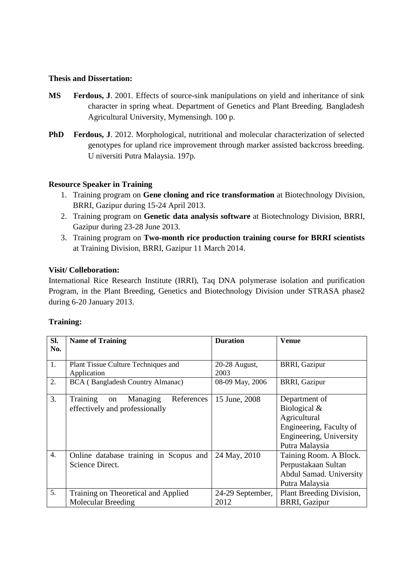#### **Thesis and Dissertation:**

- **MS Ferdous, J**. 2001. Effects of source-sink manipulations on yield and inheritance of sink character in spring wheat. Department of Genetics and Plant Breeding. Bangladesh Agricultural University, Mymensingh. 100 p.
- **PhD Ferdous, J**. 2012. Morphological, nutritional and molecular characterization of selected genotypes for upland rice improvement through marker assisted backcross breeding. U niversiti Putra Malaysia. 197p.

#### **Resource Speaker in Training**

- 1. Training program on **Gene cloning and rice transformation** at Biotechnology Division, BRRI, Gazipur during 15-24 April 2013.
- 2. Training program on **Genetic data analysis software** at Biotechnology Division, BRRI, Gazipur during 23-28 June 2013.
- 3. Training program on **Two-month rice production training course for BRRI scientists** at Training Division, BRRI, Gazipur 11 March 2014.

#### **Visit/ Colleboration:**

International Rice Research Institute (IRRI), Taq DNA polymerase isolation and purification Program, in the Plant Breeding, Genetics and Biotechnology Division under STRASA phase2 during 6-20 January 2013.

#### **Training:**

| Sl.              | <b>Name of Training</b>                                                    | <b>Duration</b>  | <b>Venue</b>                                                                                                          |
|------------------|----------------------------------------------------------------------------|------------------|-----------------------------------------------------------------------------------------------------------------------|
| No.              |                                                                            |                  |                                                                                                                       |
| 1.               | Plant Tissue Culture Techniques and                                        | 20-28 August,    | <b>BRRI, Gazipur</b>                                                                                                  |
|                  | Application                                                                | 2003             |                                                                                                                       |
| 2.               | <b>BCA</b> (Bangladesh Country Almanac)                                    | 08-09 May, 2006  | <b>BRRI, Gazipur</b>                                                                                                  |
| 3.               | Training<br>References<br>Managing<br>on<br>effectively and professionally | 15 June, 2008    | Department of<br>Biological &<br>Agricultural<br>Engineering, Faculty of<br>Engineering, University<br>Putra Malaysia |
| $\overline{4}$ . | Online database training in Scopus and<br>Science Direct.                  | 24 May, 2010     | Taining Room. A Block.<br>Perpustakaan Sultan<br>Abdul Samad. University<br>Putra Malaysia                            |
| 5.               | Training on Theoretical and Applied                                        | 24-29 September, | Plant Breeding Division,                                                                                              |
|                  | <b>Molecular Breeding</b>                                                  | 2012             | <b>BRRI, Gazipur</b>                                                                                                  |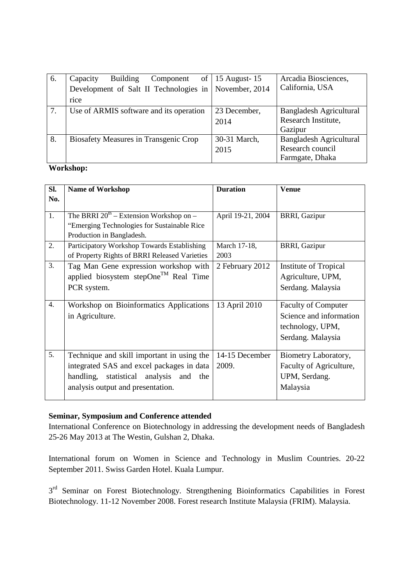| 6. | Capacity<br>Component<br><b>Building</b>     | of   15 August - $15$ | Arcadia Biosciences,    |
|----|----------------------------------------------|-----------------------|-------------------------|
|    | Development of Salt II Technologies in       | November, 2014        | California, USA         |
|    | rice                                         |                       |                         |
| 7. | Use of ARMIS software and its operation      | 23 December,          | Bangladesh Agricultural |
|    |                                              | 2014                  | Research Institute,     |
|    |                                              |                       | Gazipur                 |
| 8. | <b>Biosafety Measures in Transgenic Crop</b> | 30-31 March,          | Bangladesh Agricultural |
|    |                                              | 2015                  | Research council        |
|    |                                              |                       | Farmgate, Dhaka         |

#### **Workshop:**

| SI.              | <b>Name of Workshop</b>                                                                                                                                                | <b>Duration</b>         | <b>Venue</b>                                                                                   |
|------------------|------------------------------------------------------------------------------------------------------------------------------------------------------------------------|-------------------------|------------------------------------------------------------------------------------------------|
| No.              |                                                                                                                                                                        |                         |                                                                                                |
| 1.               | The BRRI $20^{th}$ – Extension Workshop on –<br>"Emerging Technologies for Sustainable Rice<br>Production in Bangladesh.                                               | April 19-21, 2004       | <b>BRRI, Gazipur</b>                                                                           |
| 2.               | Participatory Workshop Towards Establishing<br>of Property Rights of BRRI Released Varieties                                                                           | March 17-18,<br>2003    | <b>BRRI, Gazipur</b>                                                                           |
| 3.               | Tag Man Gene expression workshop with<br>applied biosystem stepOne <sup>TM</sup> Real Time<br>PCR system.                                                              | 2 February 2012         | Institute of Tropical<br>Agriculture, UPM,<br>Serdang. Malaysia                                |
| $\overline{4}$ . | Workshop on Bioinformatics Applications<br>in Agriculture.                                                                                                             | 13 April 2010           | <b>Faculty of Computer</b><br>Science and information<br>technology, UPM,<br>Serdang. Malaysia |
| 5.               | Technique and skill important in using the<br>integrated SAS and excel packages in data<br>handling, statistical analysis and the<br>analysis output and presentation. | 14-15 December<br>2009. | Biometry Laboratory,<br>Faculty of Agriculture,<br>UPM, Serdang.<br>Malaysia                   |

### **Seminar, Symposium and Conference attended**

International Conference on Biotechnology in addressing the development needs of Bangladesh 25-26 May 2013 at The Westin, Gulshan 2, Dhaka.

International forum on Women in Science and Technology in Muslim Countries. 20-22 September 2011. Swiss Garden Hotel. Kuala Lumpur.

3<sup>rd</sup> Seminar on Forest Biotechnology. Strengthening Bioinformatics Capabilities in Forest Biotechnology. 11-12 November 2008. Forest research Institute Malaysia (FRIM). Malaysia.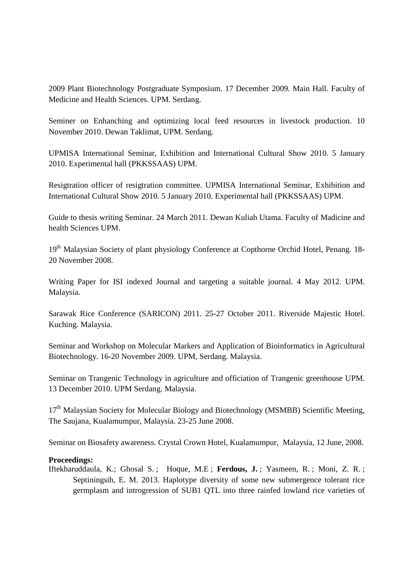2009 Plant Biotechnology Postgraduate Symposium. 17 December 2009. Main Hall. Faculty of Medicine and Health Sciences. UPM. Serdang.

Seminer on Enhanching and optimizing local feed resources in livestock production. 10 November 2010. Dewan Taklimat, UPM. Serdang.

UPMISA International Seminar, Exhibition and International Cultural Show 2010. 5 January 2010. Experimental hall (PKKSSAAS) UPM.

Resigtration officer of resigtration committee. UPMISA International Seminar, Exhibition and International Cultural Show 2010. 5 January 2010. Experimental hall (PKKSSAAS) UPM.

Guide to thesis writing Seminar. 24 March 2011. Dewan Kuliah Utama. Faculty of Madicine and health Sciences UPM.

19<sup>th</sup> Malaysian Society of plant physiology Conference at Copthorne Orchid Hotel, Penang. 18-20 November 2008.

Writing Paper for ISI indexed Journal and targeting a suitable journal. 4 May 2012. UPM. Malaysia.

Sarawak Rice Conference (SARICON) 2011. 25-27 October 2011. Riverside Majestic Hotel. Kuching. Malaysia.

Seminar and Workshop on Molecular Markers and Application of Bioinformatics in Agricultural Biotechnology. 16-20 November 2009. UPM, Serdang. Malaysia.

Seminar on Trangenic Technology in agriculture and officiation of Trangenic greenhouse UPM. 13 December 2010. UPM Serdang. Malaysia.

17<sup>th</sup> Malaysian Society for Molecular Biology and Biotechnology (MSMBB) Scientific Meeting, The Saujana, Kualamumpur, Malaysia. 23-25 June 2008.

Seminar on Biosafety awareness. Crystal Crown Hotel, Kualamumpur, Malaysia, 12 June, 2008.

#### **Proceedings:**

Iftekharuddaula, K.; Ghosal S. ; Hoque, M.E ; **Ferdous, J.** ; Yasmeen, R. ; Moni, Z. R. ; Septiningsih, E. M. 2013. Haplotype diversity of some new submergence tolerant rice germplasm and introgression of SUB1 QTL into three rainfed lowland rice varieties of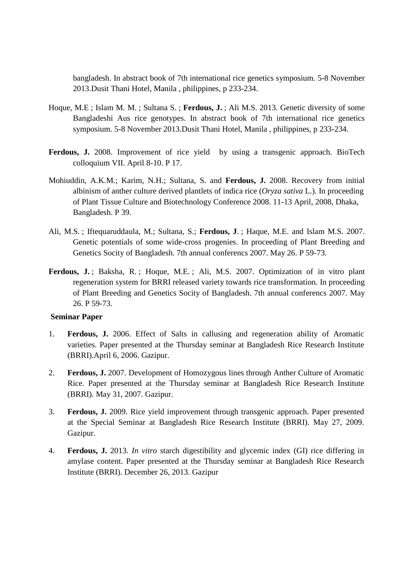bangladesh. In abstract book of 7th international rice genetics symposium. 5-8 November 2013.Dusit Thani Hotel, Manila , philippines, p 233-234.

- Hoque, M.E ; Islam M. M. ; Sultana S. ; **Ferdous, J.** ; Ali M.S. 2013. Genetic diversity of some Bangladeshi Aus rice genotypes. In abstract book of 7th international rice genetics symposium. 5-8 November 2013.Dusit Thani Hotel, Manila , philippines, p 233-234.
- **Ferdous, J.** 2008. Improvement of rice yield by using a transgenic approach. BioTech colloquium VII. April 8-10. P 17.
- Mohiuddin, A.K.M.; Karim, N.H.; Sultana, S. and **Ferdous, J.** 2008. Recovery from initial albinism of anther culture derived plantlets of indica rice (*Oryza sativa* L.). In proceeding of Plant Tissue Culture and Biotechnology Conference 2008. 11-13 April, 2008, Dhaka, Bangladesh. P 39.
- Ali, M.S. ; Iftequaruddaula, M.; Sultana, S.; **Ferdous, J**. ; Haque, M.E. and Islam M.S. 2007. Genetic potentials of some wide-cross progenies. In proceeding of Plant Breeding and Genetics Socity of Bangladesh. 7th annual conferencs 2007. May 26. P 59-73.
- Ferdous, J.; Baksha, R.; Hoque, M.E.; Ali, M.S. 2007. Optimization of in vitro plant regeneration system for BRRI released variety towards rice transformation. In proceeding of Plant Breeding and Genetics Socity of Bangladesh. 7th annual conferencs 2007. May 26. P 59-73.

#### **Seminar Paper**

- 1. **Ferdous, J.** 2006. Effect of Salts in callusing and regeneration ability of Aromatic varieties. Paper presented at the Thursday seminar at Bangladesh Rice Research Institute (BRRI).April 6, 2006. Gazipur.
- 2. **Ferdous, J.** 2007. Development of Homozygous lines through Anther Culture of Aromatic Rice. Paper presented at the Thursday seminar at Bangladesh Rice Research Institute (BRRI). May 31, 2007. Gazipur.
- 3. **Ferdous, J.** 2009. Rice yield improvement through transgenic approach. Paper presented at the Special Seminar at Bangladesh Rice Research Institute (BRRI). May 27, 2009. Gazipur.
- 4. **Ferdous, J.** 2013. *In vitro* starch digestibility and glycemic index (GI) rice differing in amylase content. Paper presented at the Thursday seminar at Bangladesh Rice Research Institute (BRRI). December 26, 2013. Gazipur